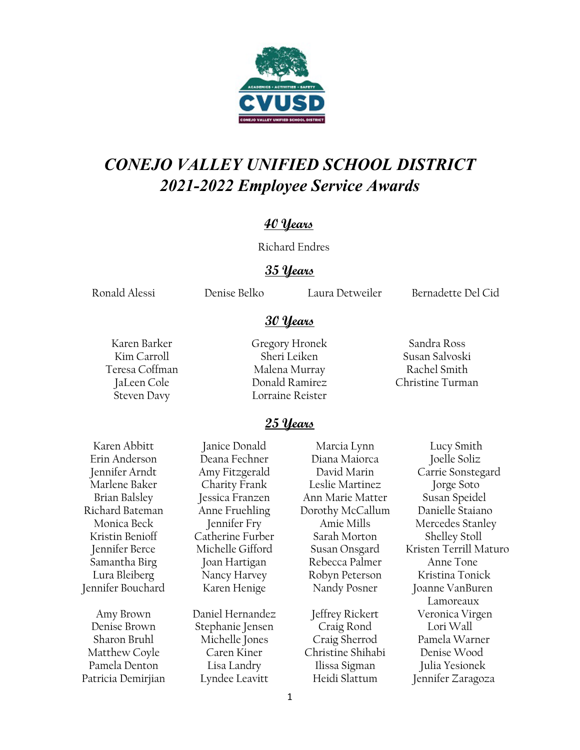

# *CONEJO VALLEY UNIFIED SCHOOL DISTRICT 2021-2022 Employee Service Awards*

## **40 Years**

Richard Endres

### **35 Years**

**30 Years**

Ronald Alessi Denise Belko Laura Detweiler Bernadette Del Cid

Karen Barker Gregory Hronek Sandra Ross Kim Carroll Sheri Leiken Susan Salvoski Teresa Coffman Malena Murray Rachel Smith Steven Davy Lorraine Reister

JaLeen Cole Donald Ramirez Christine Turman

## **25 Years**

Karen Abbitt Janice Donald Marcia Lynn Lucy Smith

Denise Brown Stephanie Jensen Craig Rond Lori Wall Sharon Bruhl Michelle Jones Craig Sherrod Pamela Warner Matthew Coyle Caren Kiner Christine Shihabi Denise Wood Pamela Denton Lisa Landry Ilissa Sigman Julia Yesionek Patricia Demirjian Lyndee Leavitt Heidi Slattum Jennifer Zaragoza

Erin Anderson Deana Fechner Diana Maiorca Joelle Soliz Marlene Baker Charity Frank Leslie Martinez Jorge Soto Brian Balsley Jessica Franzen Ann Marie Matter Susan Speidel Richard Bateman Anne Fruehling Dorothy McCallum Danielle Staiano Kristin Benioff Catherine Furber Sarah Morton Shelley Stoll Samantha Birg Joan Hartigan Rebecca Palmer Anne Tone Lura Bleiberg Nancy Harvey Robyn Peterson Kristina Tonick Jennifer Bouchard Karen Henige Nandy Posner Joanne VanBuren

Jennifer Arndt Amy Fitzgerald David Marin Carrie Sonstegard Monica Beck Jennifer Fry Amie Mills Mercedes Stanley Jennifer Berce Michelle Gifford Susan Onsgard Kristen Terrill Maturo Lamoreaux Amy Brown Daniel Hernandez Jeffrey Rickert Veronica Virgen